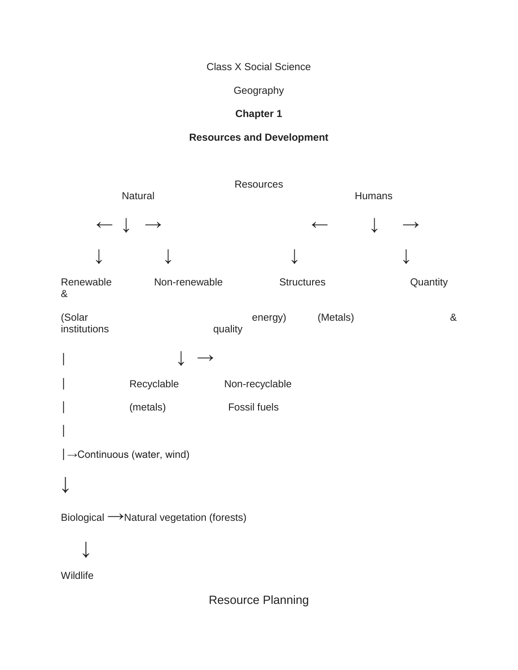Class X Social Science

**Geography** 

# **Chapter 1**

## **Resources and Development**

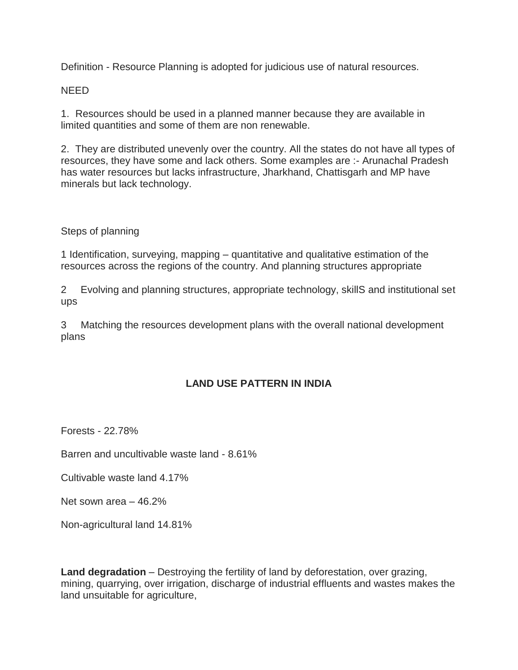Definition - Resource Planning is adopted for judicious use of natural resources.

#### NEED

1. Resources should be used in a planned manner because they are available in limited quantities and some of them are non renewable.

2. They are distributed unevenly over the country. All the states do not have all types of resources, they have some and lack others. Some examples are :- Arunachal Pradesh has water resources but lacks infrastructure, Jharkhand, Chattisgarh and MP have minerals but lack technology.

#### Steps of planning

1 Identification, surveying, mapping – quantitative and qualitative estimation of the resources across the regions of the country. And planning structures appropriate

2 Evolving and planning structures, appropriate technology, skillS and institutional set ups

3 Matching the resources development plans with the overall national development plans

#### **LAND USE PATTERN IN INDIA**

Forests - 22.78%

Barren and uncultivable waste land - 8.61%

Cultivable waste land 4.17%

Net sown area – 46.2%

Non-agricultural land 14.81%

**Land degradation** – Destroying the fertility of land by deforestation, over grazing, mining, quarrying, over irrigation, discharge of industrial effluents and wastes makes the land unsuitable for agriculture,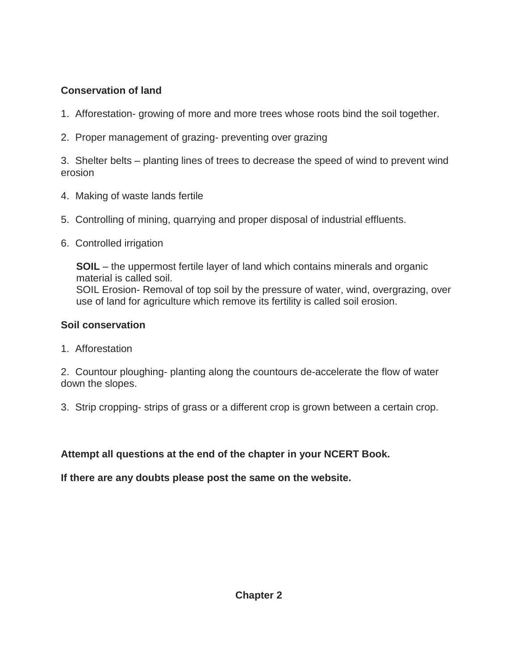# **Conservation of land**

- 1. Afforestation- growing of more and more trees whose roots bind the soil together.
- 2. Proper management of grazing- preventing over grazing

3. Shelter belts – planting lines of trees to decrease the speed of wind to prevent wind erosion

- 4. Making of waste lands fertile
- 5. Controlling of mining, quarrying and proper disposal of industrial effluents.
- 6. Controlled irrigation

**SOIL** – the uppermost fertile layer of land which contains minerals and organic material is called soil. SOIL Erosion- Removal of top soil by the pressure of water, wind, overgrazing, over use of land for agriculture which remove its fertility is called soil erosion.

## **Soil conservation**

1. Afforestation

2. Countour ploughing- planting along the countours de-accelerate the flow of water down the slopes.

3. Strip cropping- strips of grass or a different crop is grown between a certain crop.

**Attempt all questions at the end of the chapter in your NCERT Book.**

**If there are any doubts please post the same on the website.**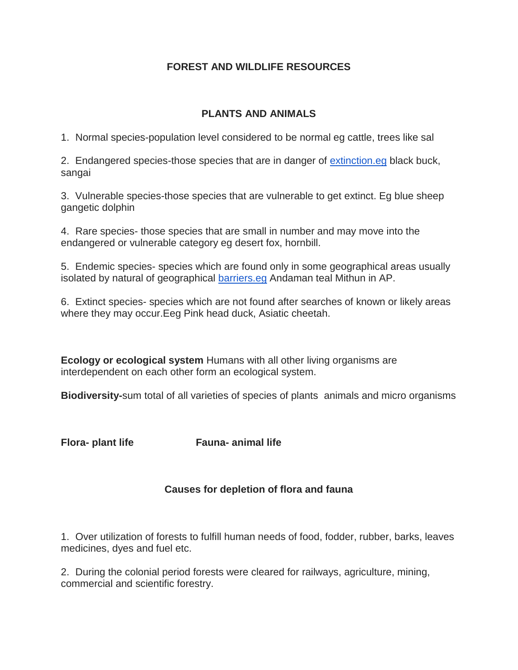## **FOREST AND WILDLIFE RESOURCES**

### **PLANTS AND ANIMALS**

1. Normal species-population level considered to be normal eg cattle, trees like sal

2. Endangered species-those species that are in danger of [extinction.eg](http://extinction.eg/) black buck, sangai

3. Vulnerable species-those species that are vulnerable to get extinct. Eg blue sheep gangetic dolphin

4. Rare species- those species that are small in number and may move into the endangered or vulnerable category eg desert fox, hornbill.

5. Endemic species- species which are found only in some geographical areas usually isolated by natural of geographical [barriers.eg](http://barriers.eg/) Andaman teal Mithun in AP.

6. Extinct species- species which are not found after searches of known or likely areas where they may occur.Eeg Pink head duck, Asiatic cheetah.

**Ecology or ecological system** Humans with all other living organisms are interdependent on each other form an ecological system.

**Biodiversity-**sum total of all varieties of species of plants animals and micro organisms

**Flora- plant life Fauna- animal life**

## **Causes for depletion of flora and fauna**

1. Over utilization of forests to fulfill human needs of food, fodder, rubber, barks, leaves medicines, dyes and fuel etc.

2. During the colonial period forests were cleared for railways, agriculture, mining, commercial and scientific forestry.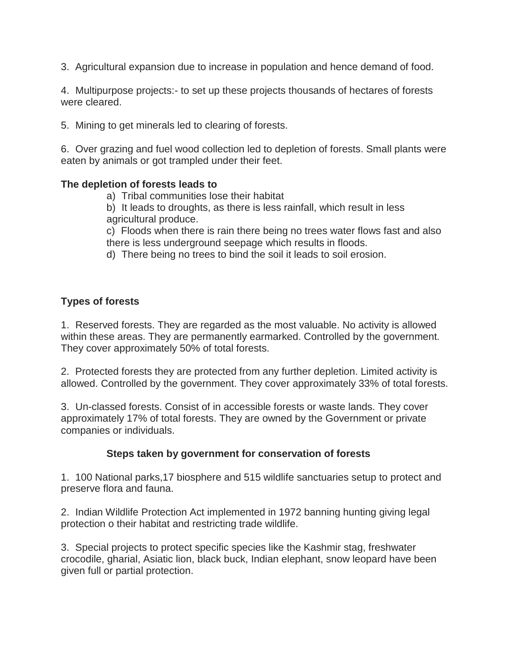3. Agricultural expansion due to increase in population and hence demand of food.

4. Multipurpose projects:- to set up these projects thousands of hectares of forests were cleared.

5. Mining to get minerals led to clearing of forests.

6. Over grazing and fuel wood collection led to depletion of forests. Small plants were eaten by animals or got trampled under their feet.

#### **The depletion of forests leads to**

- a) Tribal communities lose their habitat
- b) It leads to droughts, as there is less rainfall, which result in less agricultural produce.

c) Floods when there is rain there being no trees water flows fast and also there is less underground seepage which results in floods.

d) There being no trees to bind the soil it leads to soil erosion.

## **Types of forests**

1. Reserved forests. They are regarded as the most valuable. No activity is allowed within these areas. They are permanently earmarked. Controlled by the government. They cover approximately 50% of total forests.

2. Protected forests they are protected from any further depletion. Limited activity is allowed. Controlled by the government. They cover approximately 33% of total forests.

3. Un-classed forests. Consist of in accessible forests or waste lands. They cover approximately 17% of total forests. They are owned by the Government or private companies or individuals.

## **Steps taken by government for conservation of forests**

1. 100 National parks,17 biosphere and 515 wildlife sanctuaries setup to protect and preserve flora and fauna.

2. Indian Wildlife Protection Act implemented in 1972 banning hunting giving legal protection o their habitat and restricting trade wildlife.

3. Special projects to protect specific species like the Kashmir stag, freshwater crocodile, gharial, Asiatic lion, black buck, Indian elephant, snow leopard have been given full or partial protection.